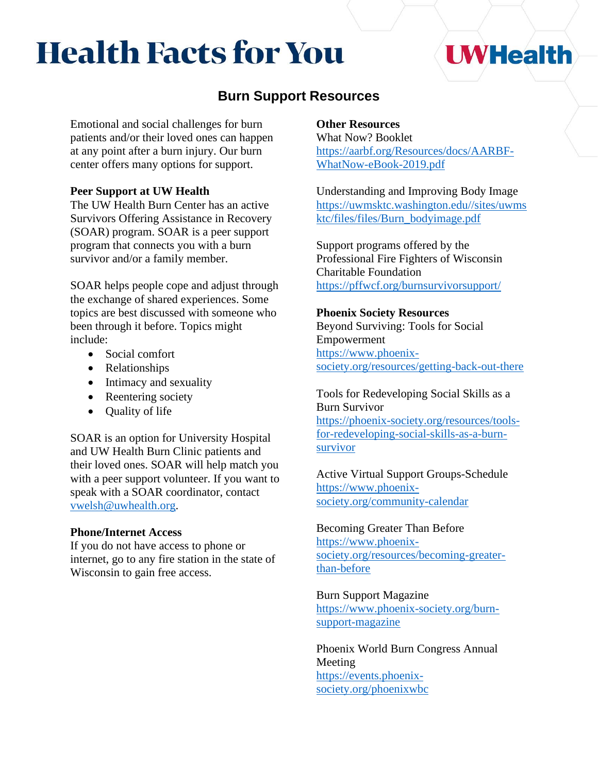# **Health Facts for You**

## **I WHealth**

### **Burn Support Resources**

Emotional and social challenges for burn patients and/or their loved ones can happen at any point after a burn injury. Our burn center offers many options for support.

#### **Peer Support at UW Health**

The UW Health Burn Center has an active Survivors Offering Assistance in Recovery (SOAR) program. SOAR is a peer support program that connects you with a burn survivor and/or a family member.

SOAR helps people cope and adjust through the exchange of shared experiences. Some topics are best discussed with someone who been through it before. Topics might include:

- Social comfort
- Relationships
- Intimacy and sexuality
- Reentering society
- Quality of life

SOAR is an option for University Hospital and UW Health Burn Clinic patients and their loved ones. SOAR will help match you with a peer support volunteer. If you want to speak with a SOAR coordinator, contact [vwelsh@uwhealth.org.](file:///C:/Users/gek2/AppData/Local/Microsoft/Windows/INetCache/Content.Outlook/15KI8TP8/vwelsh@uwhealth.org)

#### **Phone/Internet Access**

If you do not have access to phone or internet, go to any fire station in the state of Wisconsin to gain free access.

#### **Other Resources**

[What Now? Booklet](https://aarbf.org/Resources/docs/AARBF-WhatNow-eBook-2019.pdf?utm_source=website&utm_medium=resources&utm_campaign=43586&utm_content=what-now-ebook) [https://aarbf.org/Resources/docs/AARBF-](https://aarbf.org/Resources/docs/AARBF-WhatNow-eBook-2019.pdf)[WhatNow-eBook-2019.pdf](https://aarbf.org/Resources/docs/AARBF-WhatNow-eBook-2019.pdf)

[Understanding and Improving Body Image](http://uwmsktc.washington.edu/sites/uwmsktc/files/files/Burn_bodyimage.pdf) [https://uwmsktc.washington.edu//sites/uwms](https://uwmsktc.washington.edu/sites/uwmsktc/files/files/Burn_bodyimage.pdf) [ktc/files/files/Burn\\_bodyimage.pdf](https://uwmsktc.washington.edu/sites/uwmsktc/files/files/Burn_bodyimage.pdf)

Support programs offered by the [Professional Fire Fighters of Wisconsin](https://pffwcf.org/burn-survivor-programs-camp-support/)  [Charitable Foundation](https://pffwcf.org/burn-survivor-programs-camp-support/) <https://pffwcf.org/burnsurvivorsupport/>

#### **Phoenix Society Resources**

[Beyond Surviving: Tools for Social](https://www.phoenix-society.org/resources/beyond-surviving)  [Empowerment](https://www.phoenix-society.org/resources/beyond-surviving) [https://www.phoenix](https://www.phoenix-society.org/resources/getting-back-out-there)[society.org/resources/getting-back-out-there](https://www.phoenix-society.org/resources/getting-back-out-there)

#### [Tools for Redeveloping Social Skills as a](https://phoenix-society.org/resources/tools-for-redeveloping-social-skills-as-a-burn-survivor)  [Burn Survivor](https://phoenix-society.org/resources/tools-for-redeveloping-social-skills-as-a-burn-survivor) [https://phoenix-society.org/resources/tools](https://phoenix-society.org/resources/tools-for-redeveloping-social-skills-as-a-burn-survivor)[for-redeveloping-social-skills-as-a-burn-](https://phoenix-society.org/resources/tools-for-redeveloping-social-skills-as-a-burn-survivor)

[survivor](https://phoenix-society.org/resources/tools-for-redeveloping-social-skills-as-a-burn-survivor)

[Active Virtual Support Groups-Schedule](https://www.phoenix-society.org/community-calendar) [https://www.phoenix](https://www.phoenix-society.org/community-calendar)[society.org/community-calendar](https://www.phoenix-society.org/community-calendar)

#### [Becoming Greater Than Before](https://www.phoenix-society.org/resources/becoming-greater-than-before) [https://www.phoenix](https://www.phoenix-society.org/resources/becoming-greater-than-before)[society.org/resources/becoming-greater](https://www.phoenix-society.org/resources/becoming-greater-than-before)[than-before](https://www.phoenix-society.org/resources/becoming-greater-than-before)

#### [Burn Support Magazine](https://www.phoenix-society.org/burn-support-magazine)

[https://www.phoenix-society.org/burn](https://www.phoenix-society.org/burn-support-magazine)[support-magazine](https://www.phoenix-society.org/burn-support-magazine)

[Phoenix World Burn Congress Annual](https://www.phoenix-society.org/phoenix-wbc)  [Meeting](https://www.phoenix-society.org/phoenix-wbc) [https://events.phoenix](https://events.phoenix-society.org/phoenixwbc)[society.org/phoenixwbc](https://events.phoenix-society.org/phoenixwbc)